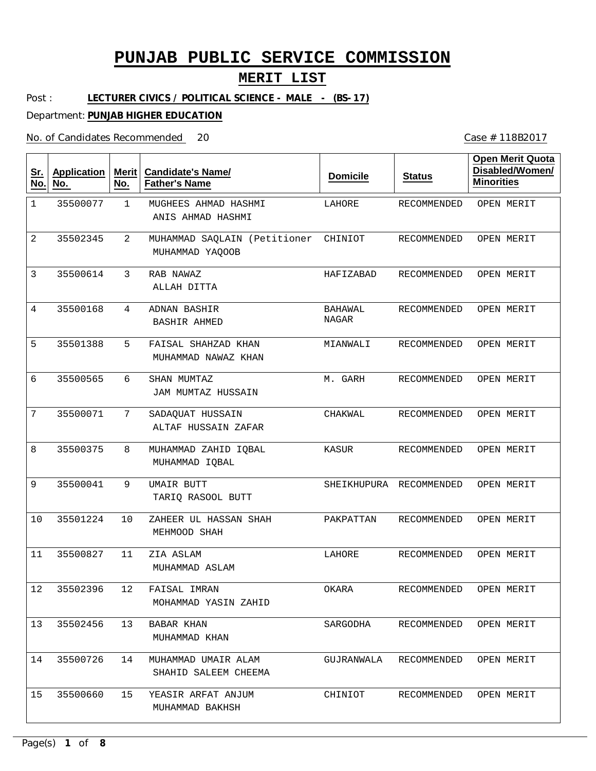### **MERIT LIST**

Post : **LECTURER CIVICS / POLITICAL SCIENCE - MALE - (BS-17)**

Department: **PUNJAB HIGHER EDUCATION**

No. of Candidates Recommended

| <u>Sr.</u><br>$N$ o. | <b>Application</b><br>No. | Merit<br>No.   | <b>Candidate's Name/</b><br><b>Father's Name</b> | <b>Domicile</b>         | <b>Status</b>           | <b>Open Merit Quota</b><br>Disabled/Women/<br><b>Minorities</b> |
|----------------------|---------------------------|----------------|--------------------------------------------------|-------------------------|-------------------------|-----------------------------------------------------------------|
| $\mathbf 1$          | 35500077                  | $\mathbf{1}$   | MUGHEES AHMAD HASHMI<br>ANIS AHMAD HASHMI        | LAHORE                  | RECOMMENDED             | OPEN MERIT                                                      |
| 2                    | 35502345                  | $\overline{2}$ | MUHAMMAD SAQLAIN (Petitioner<br>MUHAMMAD YAQOOB  | CHINIOT                 | RECOMMENDED             | OPEN MERIT                                                      |
| 3                    | 35500614                  | 3              | RAB NAWAZ<br>ALLAH DITTA                         | HAFIZABAD               | <b>RECOMMENDED</b>      | OPEN MERIT                                                      |
| 4                    | 35500168                  | 4              | ADNAN BASHIR<br>BASHIR AHMED                     | <b>BAHAWAL</b><br>NAGAR | RECOMMENDED             | OPEN MERIT                                                      |
| 5                    | 35501388                  | 5              | FAISAL SHAHZAD KHAN<br>MUHAMMAD NAWAZ KHAN       | MIANWALI                | RECOMMENDED             | OPEN MERIT                                                      |
| 6                    | 35500565                  | 6              | SHAN MUMTAZ<br>JAM MUMTAZ HUSSAIN                | M. GARH                 | RECOMMENDED             | OPEN MERIT                                                      |
| 7                    | 35500071                  | 7              | SADAQUAT HUSSAIN<br>ALTAF HUSSAIN ZAFAR          | CHAKWAL                 | RECOMMENDED             | OPEN MERIT                                                      |
| 8                    | 35500375                  | 8              | MUHAMMAD ZAHID IQBAL<br>MUHAMMAD IQBAL           | KASUR                   | RECOMMENDED             | OPEN MERIT                                                      |
| 9                    | 35500041                  | 9              | UMAIR BUTT<br>TARIQ RASOOL BUTT                  |                         | SHEIKHUPURA RECOMMENDED | OPEN MERIT                                                      |
| 10                   | 35501224                  | 10             | ZAHEER UL HASSAN SHAH<br>MEHMOOD SHAH            | PAKPATTAN               | RECOMMENDED             | OPEN MERIT                                                      |
| 11                   | 35500827                  | 11             | ZIA ASLAM<br>MUHAMMAD ASLAM                      | LAHORE                  | RECOMMENDED             | OPEN MERIT                                                      |
| 12                   | 35502396                  | 12             | FAISAL IMRAN<br>MOHAMMAD YASIN ZAHID             | OKARA                   | RECOMMENDED             | OPEN MERIT                                                      |
| 13 <sup>7</sup>      | 35502456                  | 13             | BABAR KHAN<br>MUHAMMAD KHAN                      | SARGODHA                | RECOMMENDED             | OPEN MERIT                                                      |
| 14                   | 35500726                  | 14             | MUHAMMAD UMAIR ALAM<br>SHAHID SALEEM CHEEMA      | GUJRANWALA              | RECOMMENDED             | OPEN MERIT                                                      |
| 15                   | 35500660                  | 15             | YEASIR ARFAT ANJUM<br>MUHAMMAD BAKHSH            | CHINIOT                 | RECOMMENDED             | OPEN MERIT                                                      |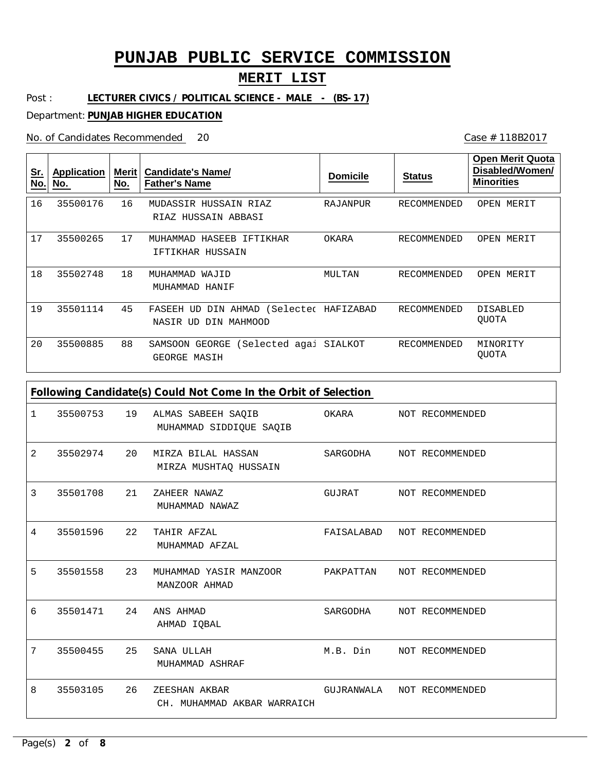### **MERIT LIST**

Post : **LECTURER CIVICS / POLITICAL SCIENCE - MALE - (BS-17)**

Department: **PUNJAB HIGHER EDUCATION**

No. of Candidates Recommended

| <u>Sr.</u><br>No. | <b>Application</b><br>No. | Merit<br>No. | <b>Candidate's Name/</b><br><b>Father's Name</b>                     | <b>Domicile</b> | <b>Status</b> | <b>Open Merit Quota</b><br>Disabled/Women/<br><b>Minorities</b> |
|-------------------|---------------------------|--------------|----------------------------------------------------------------------|-----------------|---------------|-----------------------------------------------------------------|
| 16                | 35500176                  | 16           | MUDASSIR HUSSAIN RIAZ<br>RIAZ HUSSAIN ABBASI                         | RAJANPUR        | RECOMMENDED   | OPEN MERIT                                                      |
| 17                | 35500265                  | 17           | HASEEB<br>IFTIKHAR<br>MUHAMMAD<br>IFTIKHAR HUSSAIN                   | OKARA           | RECOMMENDED   | OPEN MERIT                                                      |
| 18                | 35502748                  | 18           | MUHAMMAD<br>WAJID<br>MUHAMMAD HANIF                                  | MULTAN          | RECOMMENDED   | OPEN MERIT                                                      |
| 19                | 35501114                  | 45           | (Selected<br>DIN AHMAD<br>FASEEH<br>UD<br>DIN MAHMOOD<br>NASIR<br>UD | HAFIZABAD       | RECOMMENDED   | DISABLED<br><b>OUOTA</b>                                        |
| 20                | 35500885                  | 88           | GEORGE<br>(Selected agai<br>SAMSOON<br>GEORGE MASIH                  | SIALKOT         | RECOMMENDED   | MINORITY<br>QUOTA                                               |

|   | Following Candidate(s) Could Not Come In the Orbit of Selection |    |                                               |            |  |                 |  |
|---|-----------------------------------------------------------------|----|-----------------------------------------------|------------|--|-----------------|--|
| 1 | 35500753                                                        | 19 | ALMAS SABEEH SAQIB<br>MUHAMMAD SIDDIQUE SAQIB | OKARA      |  | NOT RECOMMENDED |  |
| 2 | 35502974                                                        | 20 | MIRZA BILAL HASSAN<br>MIRZA MUSHTAO HUSSAIN   | SARGODHA   |  | NOT RECOMMENDED |  |
| 3 | 35501708                                                        | 21 | ZAHEER NAWAZ<br>MUHAMMAD NAWAZ                | GUJRAT     |  | NOT RECOMMENDED |  |
| 4 | 35501596                                                        | 22 | TAHIR AFZAL<br>MUHAMMAD AFZAL                 | FAISALABAD |  | NOT RECOMMENDED |  |
| 5 | 35501558                                                        | 23 | MUHAMMAD YASIR MANZOOR<br>MANZOOR AHMAD       | PAKPATTAN  |  | NOT RECOMMENDED |  |
| 6 | 35501471                                                        | 24 | ANS AHMAD<br>AHMAD IQBAL                      | SARGODHA   |  | NOT RECOMMENDED |  |
| 7 | 35500455                                                        | 25 | SANA ULLAH<br>MUHAMMAD ASHRAF                 | M.B. Din   |  | NOT RECOMMENDED |  |
| 8 | 35503105                                                        | 26 | ZEESHAN AKBAR<br>CH. MUHAMMAD AKBAR WARRAICH  | GUJRANWALA |  | NOT RECOMMENDED |  |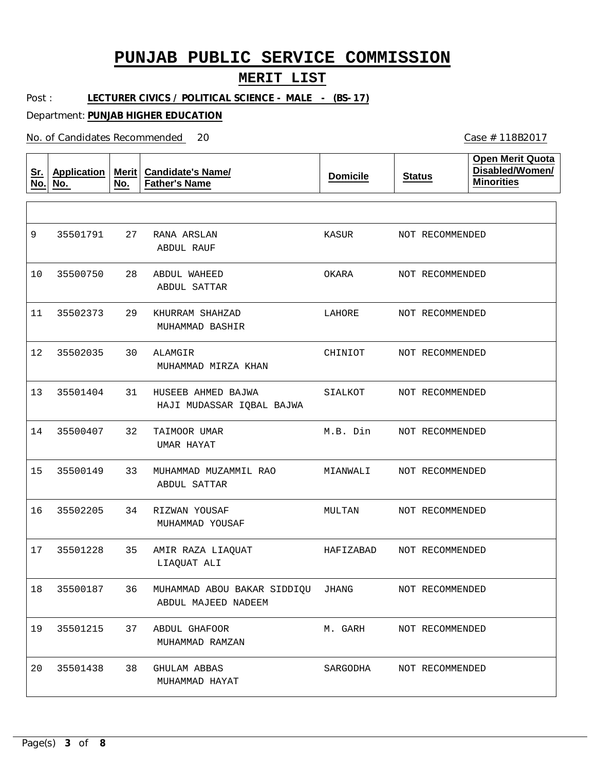### **MERIT LIST**

Case # 118B2017

Post : **LECTURER CIVICS / POLITICAL SCIENCE - MALE - (BS-17)**

Department: **PUNJAB HIGHER EDUCATION**

No. of Candidates Recommended 20

| <u>Sr.</u><br>No. | <b>Application</b><br>No. | Merit  <br>No. | <b>Candidate's Name/</b><br><b>Father's Name</b>            | <b>Domicile</b> | <b>Status</b>   | <b>Open Merit Quota</b><br>Disabled/Women/<br><b>Minorities</b> |
|-------------------|---------------------------|----------------|-------------------------------------------------------------|-----------------|-----------------|-----------------------------------------------------------------|
|                   |                           |                |                                                             |                 |                 |                                                                 |
| 9                 | 35501791                  | 27             | RANA ARSLAN<br>ABDUL RAUF                                   | KASUR           | NOT RECOMMENDED |                                                                 |
| 10                | 35500750                  | 28             | <b>ABDUL WAHEED</b><br>ABDUL SATTAR                         | OKARA           | NOT RECOMMENDED |                                                                 |
| 11                | 35502373                  | 29             | KHURRAM SHAHZAD<br>MUHAMMAD BASHIR                          | LAHORE          | NOT RECOMMENDED |                                                                 |
| 12                | 35502035                  | 30             | ALAMGIR<br>MUHAMMAD MIRZA KHAN                              | CHINIOT         | NOT RECOMMENDED |                                                                 |
| 13                | 35501404                  | 31             | HUSEEB AHMED BAJWA<br>HAJI MUDASSAR IQBAL BAJWA             | SIALKOT         | NOT RECOMMENDED |                                                                 |
| 14                | 35500407                  | 32             | TAIMOOR UMAR<br>UMAR HAYAT                                  | M.B. Din        | NOT RECOMMENDED |                                                                 |
| 15                | 35500149                  | 33             | MUHAMMAD MUZAMMIL RAO<br>ABDUL SATTAR                       | MIANWALI        | NOT RECOMMENDED |                                                                 |
| 16                | 35502205                  | 34             | RIZWAN YOUSAF<br>MUHAMMAD YOUSAF                            | MULTAN          | NOT RECOMMENDED |                                                                 |
| 17                | 35501228                  | 35             | AMIR RAZA LIAQUAT<br>LIAQUAT ALI                            | HAFIZABAD       | NOT RECOMMENDED |                                                                 |
| 18                | 35500187                  |                | 36 MUHAMMAD ABOU BAKAR SIDDIQU JHANG<br>ABDUL MAJEED NADEEM |                 | NOT RECOMMENDED |                                                                 |
| 19                | 35501215                  | 37             | ABDUL GHAFOOR<br>MUHAMMAD RAMZAN                            | M. GARH         | NOT RECOMMENDED |                                                                 |
| 20                | 35501438                  | 38             | GHULAM ABBAS<br>MUHAMMAD HAYAT                              | SARGODHA        | NOT RECOMMENDED |                                                                 |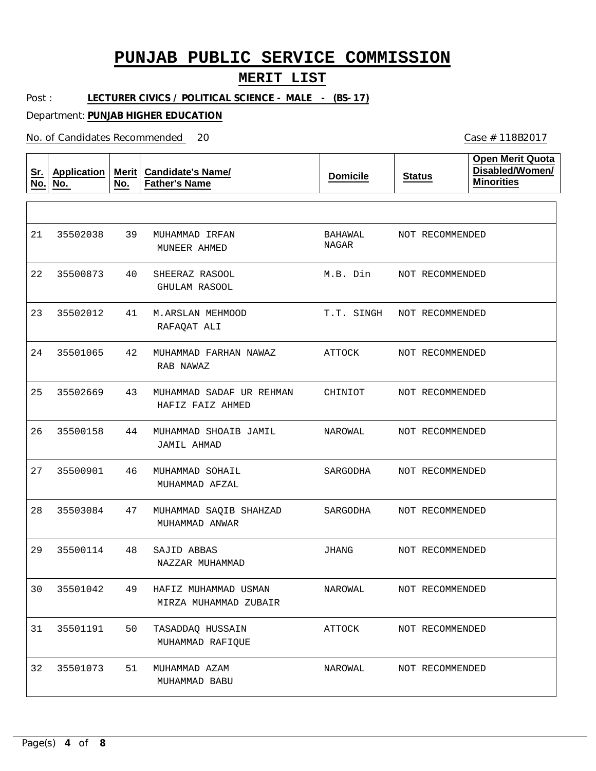### **MERIT LIST**

Post : LECTURER CIVICS / POLITICAL SCIENCE - MALE - (BS-17)

Department: **PUNJAB HIGHER EDUCATION**

No. of Candidates Recommended

| <u>Sr.</u><br>No. | <b>Application</b><br>No. | Merit $ $<br>No. | <b>Candidate's Name/</b><br><b>Father's Name</b> | <b>Domicile</b>  | <b>Status</b>   | <b>Open Merit Quota</b><br>Disabled/Women/<br><b>Minorities</b> |
|-------------------|---------------------------|------------------|--------------------------------------------------|------------------|-----------------|-----------------------------------------------------------------|
|                   |                           |                  |                                                  |                  |                 |                                                                 |
| 21                | 35502038                  | 39               | MUHAMMAD IRFAN<br>MUNEER AHMED                   | BAHAWAL<br>NAGAR | NOT RECOMMENDED |                                                                 |
| 22                | 35500873                  | 40               | SHEERAZ RASOOL<br>GHULAM RASOOL                  | M.B. Din         | NOT RECOMMENDED |                                                                 |
| 23                | 35502012                  | 41               | M.ARSLAN MEHMOOD<br>RAFAQAT ALI                  | T.T. SINGH       | NOT RECOMMENDED |                                                                 |
| 24                | 35501065                  | 42               | MUHAMMAD FARHAN NAWAZ<br>RAB NAWAZ               | ATTOCK           | NOT RECOMMENDED |                                                                 |
| 25                | 35502669                  | 43               | MUHAMMAD SADAF UR REHMAN<br>HAFIZ FAIZ AHMED     | CHINIOT          | NOT RECOMMENDED |                                                                 |
| 26                | 35500158                  | 44               | MUHAMMAD SHOAIB JAMIL<br>JAMIL AHMAD             | NAROWAL          | NOT RECOMMENDED |                                                                 |
| 27                | 35500901                  | 46               | MUHAMMAD SOHAIL<br>MUHAMMAD AFZAL                | SARGODHA         | NOT RECOMMENDED |                                                                 |
| 28                | 35503084                  | 47               | MUHAMMAD SAQIB SHAHZAD<br>MUHAMMAD ANWAR         | SARGODHA         | NOT RECOMMENDED |                                                                 |
| 29                | 35500114                  | 48               | SAJID ABBAS<br>NAZZAR MUHAMMAD                   | JHANG            | NOT RECOMMENDED |                                                                 |
| 30                | 35501042                  | 49               | HAFIZ MUHAMMAD USMAN<br>MIRZA MUHAMMAD ZUBAIR    | NAROWAL          | NOT RECOMMENDED |                                                                 |
| 31                | 35501191                  | 50               | TASADDAQ HUSSAIN<br>MUHAMMAD RAFIQUE             | ATTOCK           | NOT RECOMMENDED |                                                                 |
| 32                | 35501073                  | 51               | MUHAMMAD AZAM<br>MUHAMMAD BABU                   | NAROWAL          | NOT RECOMMENDED |                                                                 |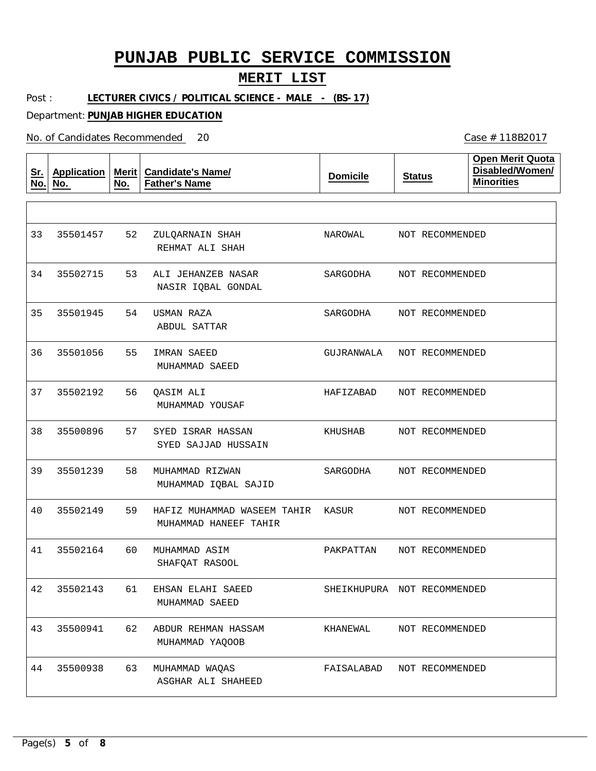### **MERIT LIST**

Case # 118B2017

Post : **LECTURER CIVICS / POLITICAL SCIENCE - MALE - (BS-17)**

Department: **PUNJAB HIGHER EDUCATION**

No. of Candidates Recommended 20

| <u>Sr.</u><br>No. | <b>Application</b><br>No. | Merit $ $<br>No. | <b>Candidate's Name/</b><br><b>Father's Name</b>     | <b>Domicile</b> | <b>Status</b>               | <b>Open Merit Quota</b><br>Disabled/Women/<br><b>Minorities</b> |
|-------------------|---------------------------|------------------|------------------------------------------------------|-----------------|-----------------------------|-----------------------------------------------------------------|
|                   |                           |                  |                                                      |                 |                             |                                                                 |
| 33                | 35501457                  | 52               | ZULQARNAIN SHAH<br>REHMAT ALI SHAH                   | NAROWAL         | NOT RECOMMENDED             |                                                                 |
| 34                | 35502715                  | 53               | ALI JEHANZEB NASAR<br>NASIR IQBAL GONDAL             | SARGODHA        | NOT RECOMMENDED             |                                                                 |
| 35                | 35501945                  | 54               | USMAN RAZA<br><b>ABDUL SATTAR</b>                    | SARGODHA        | NOT RECOMMENDED             |                                                                 |
| 36                | 35501056                  | 55               | <b>IMRAN SAEED</b><br>MUHAMMAD SAEED                 | GUJRANWALA      | NOT RECOMMENDED             |                                                                 |
| 37                | 35502192                  | 56               | QASIM ALI<br>MUHAMMAD YOUSAF                         | HAFIZABAD       | NOT RECOMMENDED             |                                                                 |
| 38                | 35500896                  | 57               | SYED ISRAR HASSAN<br>SYED SAJJAD HUSSAIN             | KHUSHAB         | NOT RECOMMENDED             |                                                                 |
| 39                | 35501239                  | 58               | MUHAMMAD RIZWAN<br>MUHAMMAD IQBAL SAJID              | SARGODHA        | NOT RECOMMENDED             |                                                                 |
| 40                | 35502149                  | 59               | HAFIZ MUHAMMAD WASEEM TAHIR<br>MUHAMMAD HANEEF TAHIR | KASUR           | NOT RECOMMENDED             |                                                                 |
| 41                | 35502164                  | 60               | MUHAMMAD ASIM<br>SHAFQAT RASOOL                      | PAKPATTAN       | NOT RECOMMENDED             |                                                                 |
| 42                | 35502143                  | 61               | EHSAN ELAHI SAEED<br>MUHAMMAD SAEED                  |                 | SHEIKHUPURA NOT RECOMMENDED |                                                                 |
| 43                | 35500941                  | 62               | ABDUR REHMAN HASSAM<br>MUHAMMAD YAQOOB               | KHANEWAL        | NOT RECOMMENDED             |                                                                 |
| 44                | 35500938                  | 63               | MUHAMMAD WAQAS<br>ASGHAR ALI SHAHEED                 | FAISALABAD      | NOT RECOMMENDED             |                                                                 |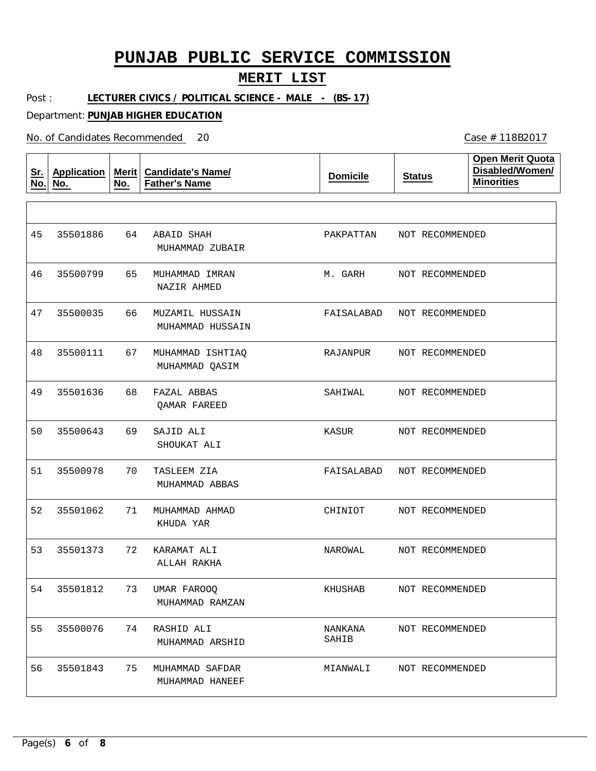### **MERIT LIST**

Post : **LECTURER CIVICS / POLITICAL SCIENCE - MALE - (BS-17)**

Department: **PUNJAB HIGHER EDUCATION**

No. of Candidates Recommended

| <u>Sr.</u><br>No. | <b>Application</b><br>No. | Merit $ $<br>No. | <b>Candidate's Name/</b><br><b>Father's Name</b> | <b>Domicile</b>  | <b>Status</b>   | <b>Open Merit Quota</b><br>Disabled/Women/<br><b>Minorities</b> |
|-------------------|---------------------------|------------------|--------------------------------------------------|------------------|-----------------|-----------------------------------------------------------------|
|                   |                           |                  |                                                  |                  |                 |                                                                 |
| 45                | 35501886                  | 64               | ABAID SHAH<br>MUHAMMAD ZUBAIR                    | PAKPATTAN        | NOT RECOMMENDED |                                                                 |
| 46                | 35500799                  | 65               | MUHAMMAD IMRAN<br>NAZIR AHMED                    | M. GARH          | NOT RECOMMENDED |                                                                 |
| 47                | 35500035                  | 66               | MUZAMIL HUSSAIN<br>MUHAMMAD HUSSAIN              | FAISALABAD       | NOT RECOMMENDED |                                                                 |
| 48                | 35500111                  | 67               | MUHAMMAD ISHTIAQ<br>MUHAMMAD QASIM               | RAJANPUR         | NOT RECOMMENDED |                                                                 |
| 49                | 35501636                  | 68               | FAZAL ABBAS<br>OAMAR FAREED                      | SAHIWAL          | NOT RECOMMENDED |                                                                 |
| 50                | 35500643                  | 69               | SAJID ALI<br>SHOUKAT ALI                         | KASUR            | NOT RECOMMENDED |                                                                 |
| 51                | 35500978                  | 70               | TASLEEM ZIA<br>MUHAMMAD ABBAS                    | FAISALABAD       | NOT RECOMMENDED |                                                                 |
| 52                | 35501062                  | 71               | MUHAMMAD AHMAD<br>KHUDA YAR                      | CHINIOT          | NOT RECOMMENDED |                                                                 |
| 53                | 35501373                  | 72               | KARAMAT ALI<br>ALLAH RAKHA                       | NAROWAL          | NOT RECOMMENDED |                                                                 |
| 54                | 35501812                  | 73               | UMAR FAROOQ<br>MUHAMMAD RAMZAN                   | KHUSHAB          | NOT RECOMMENDED |                                                                 |
| 55                | 35500076                  | 74               | RASHID ALI<br>MUHAMMAD ARSHID                    | NANKANA<br>SAHIB | NOT RECOMMENDED |                                                                 |
| 56                | 35501843                  | 75               | MUHAMMAD SAFDAR<br>MUHAMMAD HANEEF               | MIANWALI         | NOT RECOMMENDED |                                                                 |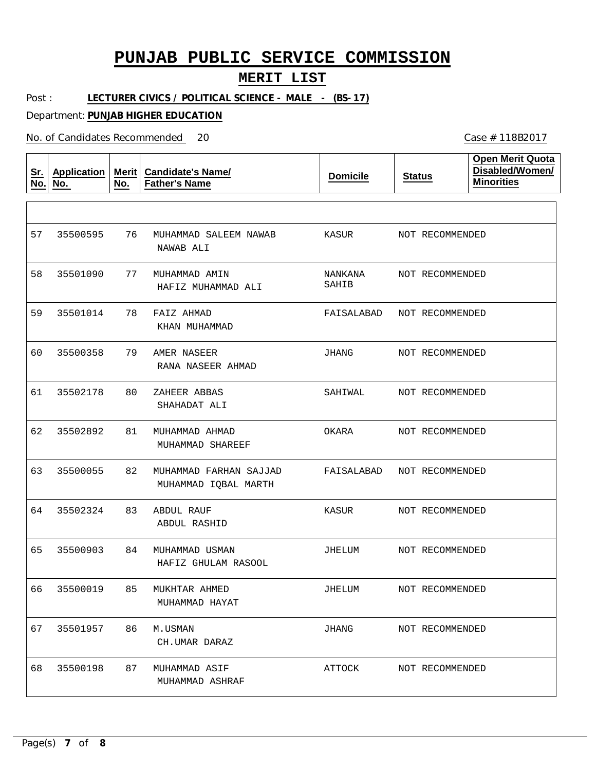#### **MERIT LIST**

Post : **LECTURER CIVICS / POLITICAL SCIENCE - MALE - (BS-17)**

Department: **PUNJAB HIGHER EDUCATION**

No. of Candidates Recommended

**Sr. No. Application No. Merit No. Candidate's Name/ Father's Name Domicile Status Open Merit Quota Disabled/Women/ Minorities** 76 77 MUHAMMAD AMIN 78 79 80 81 82 83 84 85 86 87 MUHAMMAD SALEEM NAWAB FAIZ AHMAD AMER NASEER ZAHEER ABBAS MUHAMMAD AHMAD MUHAMMAD FARHAN SAJJAD ABDUL RAUF MUHAMMAD USMAN MUKHTAR AHMED M.USMAN MUHAMMAD ASIF NAWAB ALI HAFIZ MUHAMMAD ALI KHAN MUHAMMAD RANA NASEER AHMAD SHAHADAT ALI MUHAMMAD SHAREEF MUHAMMAD IQBAL MARTH ABDUL RASHID HAFIZ GHULAM RASOOL MUHAMMAD HAYAT CH.UMAR DARAZ MUHAMMAD ASHRAF 57 58 35501090 59 60 61 62 63 64 65 66 67 68 35500595 35501014 35500358 35502178 35502892 35500055 35502324 35500903 35500019 35501957 35500198 KASUR NANKANA SAHIB FAISALABAD JHANG SAHIWAL OKARA FAISALABAD KASUR JHELUM JHELUM JHANG ATTOCK NOT RECOMMENDED NOT RECOMMENDED NOT RECOMMENDED NOT RECOMMENDED NOT RECOMMENDED NOT RECOMMENDED NOT RECOMMENDED NOT RECOMMENDED NOT RECOMMENDED NOT RECOMMENDED NOT RECOMMENDED NOT RECOMMENDED